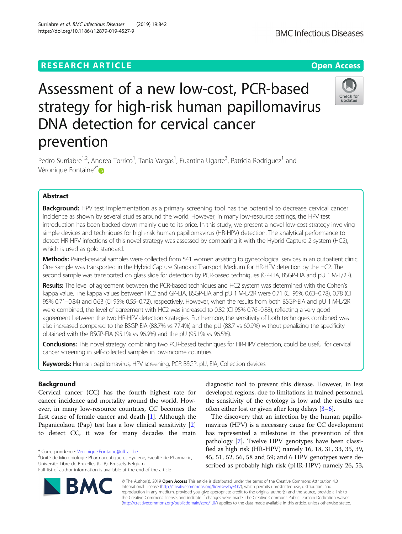## **RESEARCH ARTICLE Example 2014 12:30 The Contract of Contract ACCESS**

# Assessment of a new low-cost, PCR-based strategy for high-risk human papillomavirus DNA detection for cervical cancer prevention

Pedro Surriabre<sup>1,2</sup>, Andrea Torrico<sup>1</sup>, Tania Vargas<sup>1</sup>, Fuantina Ugarte<sup>3</sup>, Patricia Rodriguez<sup>1</sup> and Véronique Fontaine<sup>2\*</sup>

## Abstract

Background: HPV test implementation as a primary screening tool has the potential to decrease cervical cancer incidence as shown by several studies around the world. However, in many low-resource settings, the HPV test introduction has been backed down mainly due to its price. In this study, we present a novel low-cost strategy involving simple devices and techniques for high-risk human papillomavirus (HR-HPV) detection. The analytical performance to detect HR-HPV infections of this novel strategy was assessed by comparing it with the Hybrid Capture 2 system (HC2), which is used as gold standard.

Methods: Paired-cervical samples were collected from 541 women assisting to gynecological services in an outpatient clinic. One sample was transported in the Hybrid Capture Standard Transport Medium for HR-HPV detection by the HC2. The second sample was transported on glass slide for detection by PCR-based techniques (GP-EIA, BSGP-EIA and pU 1 M-L/2R).

Results: The level of agreement between the PCR-based techniques and HC2 system was determined with the Cohen's kappa value. The kappa values between HC2 and GP-EIA, BSGP-EIA and pU 1 M-L/2R were 0.71 (CI 95% 0.63–0.78), 0.78 (CI 95% 0.71–0.84) and 0.63 (CI 95% 0.55–0.72), respectively. However, when the results from both BSGP-EIA and pU 1 M-L/2R were combined, the level of agreement with HC2 was increased to 0.82 (CI 95% 0.76–0.88), reflecting a very good agreement between the two HR-HPV detection strategies. Furthermore, the sensitivity of both techniques combined was also increased compared to the BSGP-EIA (88.7% vs 77.4%) and the pU (88.7 vs 60.9%) without penalizing the specificity obtained with the BSGP-EIA (95.1% vs 96.9%) and the pU (95.1% vs 96.5%).

Conclusions: This novel strategy, combining two PCR-based techniques for HR-HPV detection, could be useful for cervical cancer screening in self-collected samples in low-income countries.

Keywords: Human papillomavirus, HPV screening, PCR BSGP, pU, EIA, Collection devices

## Background

Cervical cancer (CC) has the fourth highest rate for cancer incidence and mortality around the world. However, in many low-resource countries, CC becomes the first cause of female cancer and death [[1\]](#page-5-0). Although the Papanicolaou (Pap) test has a low clinical sensitivity [\[2](#page-5-0)] to detect CC, it was for many decades the main

\* Correspondence: [Veronique.Fontaine@ulb.ac.be](mailto:Veronique.Fontaine@ulb.ac.be) <sup>2</sup>

<sup>2</sup>Unité de Microbiologie Pharmaceutique et Hygiène, Faculté de Pharmacie, Université Libre de Bruxelles (ULB), Brussels, Belgium

diagnostic tool to prevent this disease. However, in less developed regions, due to limitations in trained personnel, the sensitivity of the cytology is low and the results are often either lost or given after long delays [\[3](#page-5-0)–[6\]](#page-6-0).

The discovery that an infection by the human papillomavirus (HPV) is a necessary cause for CC development has represented a milestone in the prevention of this pathology [[7\]](#page-6-0). Twelve HPV genotypes have been classified as high risk (HR-HPV) namely 16, 18, 31, 33, 35, 39, 45, 51, 52, 56, 58 and 59; and 6 HPV genotypes were described as probably high risk (pHR-HPV) namely 26, 53,

© The Author(s). 2019 Open Access This article is distributed under the terms of the Creative Commons Attribution 4.0 International License [\(http://creativecommons.org/licenses/by/4.0/](http://creativecommons.org/licenses/by/4.0/)), which permits unrestricted use, distribution, and reproduction in any medium, provided you give appropriate credit to the original author(s) and the source, provide a link to the Creative Commons license, and indicate if changes were made. The Creative Commons Public Domain Dedication waiver [\(http://creativecommons.org/publicdomain/zero/1.0/](http://creativecommons.org/publicdomain/zero/1.0/)) applies to the data made available in this article, unless otherwise stated.







Full list of author information is available at the end of the article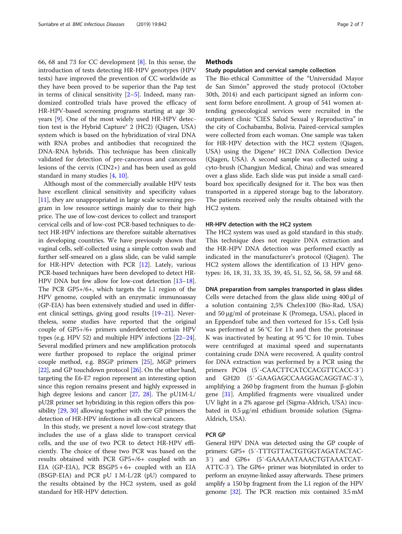66, 68 and 73 for CC development [[8\]](#page-6-0). In this sense, the introduction of tests detecting HR-HPV genotypes (HPV tests) have improved the prevention of CC worldwide as they have been proved to be superior than the Pap test in terms of clinical sensitivity  $[2-5]$  $[2-5]$  $[2-5]$ . Indeed, many randomized controlled trials have proved the efficacy of HR-HPV-based screening programs starting at age 30 years [\[9](#page-6-0)]. One of the most widely used HR-HPV detection test is the Hybrid Capture® 2 (HC2) (Qiagen, USA) system which is based on the hybridization of viral DNA with RNA probes and antibodies that recognized the DNA-RNA hybrids. This technique has been clinically validated for detection of pre-cancerous and cancerous lesions of the cervix (CIN2+) and has been used as gold standard in many studies [\[4](#page-6-0), [10](#page-6-0)].

Although most of the commercially available HPV tests have excellent clinical sensitivity and specificity values [[11](#page-6-0)], they are unappropriated in large scale screening program in low resource settings mainly due to their high price. The use of low-cost devices to collect and transport cervical cells and of low-cost PCR-based techniques to detect HR-HPV infections are therefore suitable alternatives in developing countries. We have previously shown that vaginal cells, self-collected using a simple cotton swab and further self-smeared on a glass slide, can be valid sample for HR-HPV detection with PCR [\[12\]](#page-6-0). Lately, various PCR-based techniques have been developed to detect HR-HPV DNA but few allow for low-cost detection [\[13](#page-6-0)–[18](#page-6-0)]. The PCR GP5+/6+, which targets the L1 region of the HPV genome, coupled with an enzymatic immunoassay (GP-EIA) has been extensively studied and used in different clinical settings, giving good results [\[19](#page-6-0)–[21\]](#page-6-0). Nevertheless, some studies have reported that the original couple of GP5+/6+ primers underdetected certain HPV types (e.g. HPV 52) and multiple HPV infections [\[22](#page-6-0)–[24](#page-6-0)]. Several modified primers and new amplification protocols were further proposed to replace the original primer couple method, e.g. BSGP primers [[25](#page-6-0)], MGP primers [[22](#page-6-0)], and GP touchdown protocol [[26](#page-6-0)]. On the other hand, targeting the E6-E7 region represent an interesting option since this region remains present and highly expressed in high degree lesions and cancer [\[27,](#page-6-0) [28](#page-6-0)]. The pU1M-L/ pU2R primer set hybridizing in this region offers this possibility [[29](#page-6-0), [30](#page-6-0)] allowing together with the GP primers the detection of HR-HPV infections in all cervical cancers.

In this study, we present a novel low-cost strategy that includes the use of a glass slide to transport cervical cells, and the use of two PCR to detect HR-HPV efficiently. The choice of these two PCR was based on the results obtained with PCR GP5+/6+ coupled with an EIA (GP-EIA), PCR BSGP5  $+6+$  coupled with an EIA (BSGP-EIA) and PCR pU 1 M-L/2R (pU) compared to the results obtained by the HC2 system, used as gold standard for HR-HPV detection.

## **Methods**

## Study population and cervical sample collection

The Bio-ethical Committee of the "Universidad Mayor de San Simón" approved the study protocol (October 30th, 2014) and each participant signed an inform consent form before enrollment. A group of 541 women attending gynecological services were recruited in the outpatient clinic "CIES Salud Sexual y Reproductiva" in the city of Cochabamba, Bolivia. Paired-cervical samples were collected from each woman. One sample was taken for HR-HPV detection with the HC2 system (Qiagen, USA) using the Digene® HC2 DNA Collection Device (Qiagen, USA). A second sample was collected using a cyto-brush (Changjun Medical, China) and was smeared over a glass slide. Each slide was put inside a small cardboard box specifically designed for it. The box was then transported in a zippered storage bag to the laboratory. The patients received only the results obtained with the HC2 system.

## HR-HPV detection with the HC2 system

The HC2 system was used as gold standard in this study. This technique does not require DNA extraction and the HR-HPV DNA detection was performed exactly as indicated in the manufacturer's protocol (Qiagen). The HC2 system allows the identification of 13 HPV genotypes: 16, 18, 31, 33, 35, 39, 45, 51, 52, 56, 58, 59 and 68.

DNA preparation from samples transported in glass slides Cells were detached from the glass slide using 400 μl of a solution containing 2,5% Chelex100 (Bio-Rad, USA) and 50 μg/ml of proteinase K (Promega, USA), placed in an Eppendorf tube and then vortexed for 15 s. Cell lysis was performed at 56 °C for 1 h and then the proteinase K was inactivated by heating at 95 °C for 10 min. Tubes were centrifuged at maximal speed and supernatants containing crude DNA were recovered. A quality control for DNA extraction was performed by a PCR using the primers PC04 (5′-CAACTTCATCCACGTTCACC-3′) and GH20 (5′-GAAGAGCCAAGGACAGGTAC-3′), amplifying a 260 bp fragment from the human β-globin gene [\[31](#page-6-0)]. Amplified fragments were visualized under UV light in a 2% agarose gel (Sigma-Aldrich, USA) incubated in 0.5 μg/ml ethidium bromide solution (Sigma-Aldrich, USA).

## PCR GP

General HPV DNA was detected using the GP couple of primers: GP5+ (5′-TTTGTTACTGTGGTAGATACTAC-3′) and GP6+ (5′-GAAAAATAAACTGTAAATCAT-ATTC-3′). The GP6+ primer was biotynilated in order to perform an enzyme-linked assay afterwards. These primers amplify a 150 bp fragment from the L1 region of the HPV genome [\[32](#page-6-0)]. The PCR reaction mix contained 3.5 mM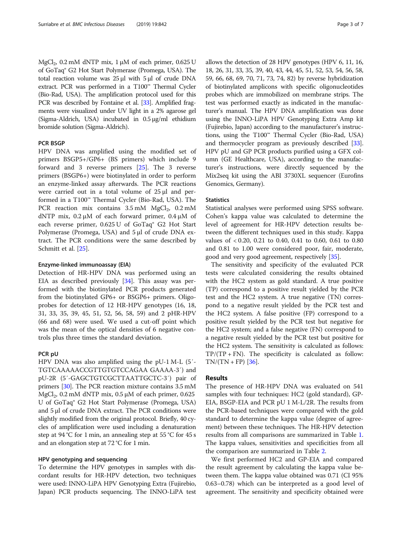$MgCl<sub>2</sub>$ , 0.2 mM dNTP mix, 1 μM of each primer, 0.625 U of GoTaq® G2 Hot Start Polymerase (Promega, USA). The total reaction volume was 25 μl with 5 μl of crude DNA extract. PCR was performed in a T100™ Thermal Cycler (Bio-Rad, USA). The amplification protocol used for this PCR was described by Fontaine et al. [\[33](#page-6-0)]. Amplified fragments were visualized under UV light in a 2% agarose gel (Sigma-Aldrich, USA) incubated in 0.5 μg/ml ethidium bromide solution (Sigma-Aldrich).

## PCR BSGP

HPV DNA was amplified using the modified set of primers BSGP5+/GP6+ (BS primers) which include 9 forward and 3 reverse primers [\[25](#page-6-0)]. The 3 reverse primers (BSGP6+) were biotinylated in order to perform an enzyme-linked assay afterwards. The PCR reactions were carried out in a total volume of 25 μl and performed in a T100™ Thermal Cycler (Bio-Rad, USA). The PCR reaction mix contains  $3.5 \text{ mM } MgCl<sub>2</sub>$ ,  $0.2 \text{ mM}$ dNTP mix, 0.2 μM of each forward primer, 0.4 μM of each reverse primer, 0.625 U of GoTaq® G2 Hot Start Polymerase (Promega, USA) and 5 μl of crude DNA extract. The PCR conditions were the same described by Schmitt et al. [\[25\]](#page-6-0).

## Enzyme-linked immunoassay (EIA)

Detection of HR-HPV DNA was performed using an EIA as described previously [\[34](#page-6-0)]. This assay was performed with the biotinylated PCR products generated from the biotinylated GP6+ or BSGP6+ primers. Oligoprobes for detection of 12 HR-HPV genotypes (16, 18, 31, 33, 35, 39, 45, 51, 52, 56, 58, 59) and 2 pHR-HPV (66 and 68) were used. We used a cut-off point which was the mean of the optical densities of 6 negative controls plus three times the standard deviation.

## PCR pU

HPV DNA was also amplified using the pU-1 M-L (5′- TGTCAAAAACCGTTGTGTCCAGAA GAAAA-3′) and pU-2R (5′-GAGCTGTCGCTTAATTGCTC-3′) pair of primers [[30\]](#page-6-0). The PCR reaction mixture contains 3.5 mM MgCl<sub>2</sub>, 0.2 mM dNTP mix, 0.5  $\mu$ M of each primer, 0.625 U of GoTaq® G2 Hot Start Polymerase (Promega, USA) and 5 μl of crude DNA extract. The PCR conditions were slightly modified from the original protocol. Briefly, 40 cycles of amplification were used including a denaturation step at 94 °C for 1 min, an annealing step at 55 °C for 45 s and an elongation step at 72 °C for 1 min.

## HPV genotyping and sequencing

To determine the HPV genotypes in samples with discordant results for HR-HPV detection, two techniques were used: INNO-LiPA HPV Genotyping Extra (Fujirebio, Japan) PCR products sequencing. The INNO-LiPA test allows the detection of 28 HPV genotypes (HPV 6, 11, 16, 18, 26, 31, 33, 35, 39, 40, 43, 44, 45, 51, 52, 53, 54, 56, 58, 59, 66, 68, 69, 70, 71, 73, 74, 82) by reverse hybridization of biotinylated amplicons with specific oligonucleotides probes which are immobilized on membrane strips. The test was performed exactly as indicated in the manufacturer's manual. The HPV DNA amplification was done using the INNO-LiPA HPV Genotyping Extra Amp kit (Fujirebio, Japan) according to the manufacturer's instructions, using the T100™ Thermal Cycler (Bio-Rad, USA) and thermocycler program as previously described [[33](#page-6-0)]. HPV pU and GP PCR products purified using a GFX column (GE Healthcare, USA), according to the manufacturer's instructions, were directly sequenced by the Mix2seq kit using the ABI 3730XL sequencer (Eurofins Genomics, Germany).

## **Statistics**

Statistical analyses were performed using SPSS software. Cohen's kappa value was calculated to determine the level of agreement for HR-HPV detection results between the different techniques used in this study. Kappa values of < 0.20, 0.21 to 0.40, 0.41 to 0.60, 0.61 to 0.80 and 0.81 to 1.00 were considered poor, fair, moderate, good and very good agreement, respectively [\[35\]](#page-6-0).

The sensitivity and specificity of the evaluated PCR tests were calculated considering the results obtained with the HC2 system as gold standard. A true positive (TP) correspond to a positive result yielded by the PCR test and the HC2 system. A true negative (TN) correspond to a negative result yielded by the PCR test and the HC2 system. A false positive (FP) correspond to a positive result yielded by the PCR test but negative for the HC2 system; and a false negative (FN) correspond to a negative result yielded by the PCR test but positive for the HC2 system. The sensitivity is calculated as follows:  $TP/(TP + FN)$ . The specificity is calculated as follow:  $TN/(TN + FP)[36]$  $TN/(TN + FP)[36]$ .

## Results

The presence of HR-HPV DNA was evaluated on 541 samples with four techniques: HC2 (gold standard), GP-EIA, BSGP-EIA and PCR pU 1 M-L/2R. The results from the PCR-based techniques were compared with the gold standard to determine the kappa value (degree of agreement) between these techniques. The HR-HPV detection results from all comparisons are summarized in Table [1](#page-3-0). The kappa values, sensitivities and specificities from all the comparison are summarized in Table [2](#page-3-0).

We first performed HC2 and GP-EIA and compared the result agreement by calculating the kappa value between them. The kappa value obtained was 0.71 (CI 95% 0.63–0.78) which can be interpreted as a good level of agreement. The sensitivity and specificity obtained were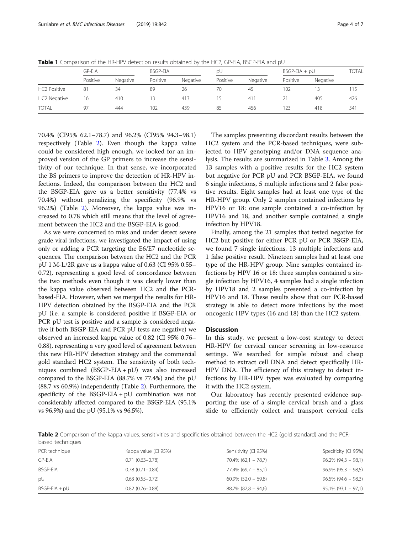|              | GP-EIA   |          | <b>BSGP-EIA</b> |          | рU       |          | $BSGP-EIA + pU$ |          | <b>TOTAL</b> |
|--------------|----------|----------|-----------------|----------|----------|----------|-----------------|----------|--------------|
|              | Positive | Negative | Positive        | Negative | Positive | Negative | Positive        | Negative |              |
| HC2 Positive | 81       | 34       | 89              | 26       | 70       | 45       | 102             |          | 115          |
| HC2 Negative | 16       | 410      | 13              | 413      | 15       | 41       |                 | 405      | 426          |
| <b>TOTAL</b> | 97       | 444      | 102             | 439      | 85       | 456      | 123             | 418      | 541          |

<span id="page-3-0"></span>Table 1 Comparison of the HR-HPV detection results obtained by the HC2, GP-EIA, BSGP-EIA and pU

70.4% (CI95% 62.1–78.7) and 96.2% (CI95% 94.3–98.1) respectively (Table 2). Even though the kappa value could be considered high enough, we looked for an improved version of the GP primers to increase the sensitivity of our technique. In that sense, we incorporated the BS primers to improve the detection of HR-HPV infections. Indeed, the comparison between the HC2 and the BSGP-EIA gave us a better sensitivity (77.4% vs 70.4%) without penalizing the specificity (96.9% vs 96.2%) (Table 2). Moreover, the kappa value was increased to 0.78 which still means that the level of agreement between the HC2 and the BSGP-EIA is good.

As we were concerned to miss and under detect severe grade viral infections, we investigated the impact of using only or adding a PCR targeting the E6/E7 nucleotide sequences. The comparison between the HC2 and the PCR pU 1 M-L/2R gave us a kappa value of 0.63 (CI 95% 0.55– 0.72), representing a good level of concordance between the two methods even though it was clearly lower than the kappa value observed between HC2 and the PCRbased-EIA. However, when we merged the results for HR-HPV detection obtained by the BSGP-EIA and the PCR pU (i.e. a sample is considered positive if BSGP-EIA or PCR pU test is positive and a sample is considered negative if both BSGP-EIA and PCR pU tests are negative) we observed an increased kappa value of 0.82 (CI 95% 0.76– 0.88), representing a very good level of agreement between this new HR-HPV detection strategy and the commercial gold standard HC2 system. The sensitivity of both techniques combined (BSGP-EIA + pU) was also increased compared to the BSGP-EIA (88.7% vs 77.4%) and the pU (88.7 vs 60.9%) independently (Table 2). Furthermore, the specificity of the BSGP-EIA + pU combination was not considerably affected compared to the BSGP-EIA (95.1% vs 96.9%) and the pU (95.1% vs 96.5%).

The samples presenting discordant results between the HC2 system and the PCR-based techniques, were subjected to HPV genotyping and/or DNA sequence analysis. The results are summarized in Table [3.](#page-4-0) Among the 13 samples with a positive results for the HC2 system but negative for PCR pU and PCR BSGP-EIA, we found 6 single infections, 5 multiple infections and 2 false positive results. Eight samples had at least one type of the HR-HPV group. Only 2 samples contained infections by HPV16 or 18: one sample contained a co-infection by HPV16 and 18, and another sample contained a single infection by HPV18.

Finally, among the 21 samples that tested negative for HC2 but positive for either PCR pU or PCR BSGP-EIA, we found 7 single infections, 13 multiple infections and 1 false positive result. Nineteen samples had at least one type of the HR-HPV group. Nine samples contained infections by HPV 16 or 18: three samples contained a single infection by HPV16, 4 samples had a single infection by HPV18 and 2 samples presented a co-infection by HPV16 and 18. These results show that our PCR-based strategy is able to detect more infections by the most oncogenic HPV types (16 and 18) than the HC2 system.

## Discussion

In this study, we present a low-cost strategy to detect HR-HPV for cervical cancer screening in low-resource settings. We searched for simple robust and cheap method to extract cell DNA and detect specifically HR-HPV DNA. The efficiency of this strategy to detect infections by HR-HPV types was evaluated by comparing it with the HC2 system.

Our laboratory has recently presented evidence supporting the use of a simple cervical brush and a glass slide to efficiently collect and transport cervical cells

Table 2 Comparison of the kappa values, sensitivities and specificities obtained between the HC2 (gold standard) and the PCRbased techniques

| PCR technique   | Kappa value (CI 95%) | Sensitivity (CI 95%)     | Specificity (CI 95%)   |
|-----------------|----------------------|--------------------------|------------------------|
| <b>GP-EIA</b>   | $0.71(0.63 - 0.78)$  | $70,4\%$ (62,1 – 78,7)   | $96,2\%$ (94,3 - 98,1) |
| <b>BSGP-EIA</b> | $0.78(0.71 - 0.84)$  | 77,4% (69,7 – 85,1)      | $96,9\%$ (95,3 - 98,5) |
| pU              | $0.63(0.55 - 0.72)$  | $60,9\%$ (52,0 – 69,8)   | $96,5\% (94,6 - 98,3)$ |
| $BSGP-EIA + pU$ | $0.82(0.76 - 0.88)$  | $88,7\%$ $(82,8 - 94,6)$ | $95,1\%$ (93,1 - 97,1) |
|                 |                      |                          |                        |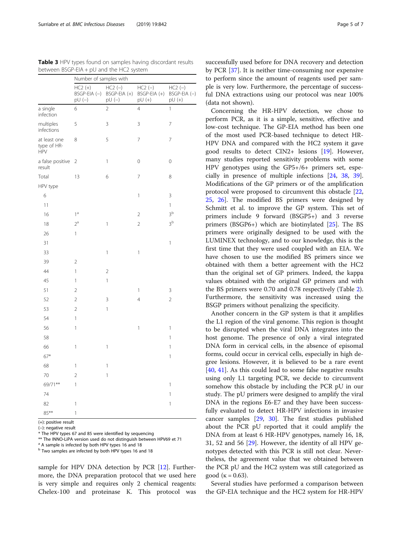<span id="page-4-0"></span>Surriabre et al. BMC Infectious Diseases (2019) 19:842 Page 5 of 7

|                                           | Number of samples with                |                                      |                                        |                                         |  |  |
|-------------------------------------------|---------------------------------------|--------------------------------------|----------------------------------------|-----------------------------------------|--|--|
|                                           | $HC2 (+)$<br>$BSGP-EIA (-)$<br>pU (–) | $HC2 (-)$<br>BSGP-EIA (+)<br>$pU(-)$ | $HC2 (-)$<br>$BSGP-EIA (+)$<br>$pU(+)$ | $HC2 (-)$<br>$BSGP-EIA (-)$<br>$pU (+)$ |  |  |
| a single<br>infection                     | 6                                     | $\overline{2}$                       | 4                                      | $\overline{1}$                          |  |  |
| multiples<br>infections                   | 5                                     | 3                                    | 3                                      | 7                                       |  |  |
| at least one<br>type of HR-<br><b>HPV</b> | 8                                     | 5                                    | $\overline{7}$                         | 7                                       |  |  |
| a false positive<br>result                | $\overline{2}$                        | $\mathbf{1}$                         | $\mathbf 0$                            | 0                                       |  |  |
| Total                                     | 13                                    | 6                                    | $\overline{7}$                         | 8                                       |  |  |
| HPV type                                  |                                       |                                      |                                        |                                         |  |  |
| 6                                         |                                       |                                      | 1                                      | 3                                       |  |  |
| 11                                        |                                       |                                      |                                        | 1                                       |  |  |
| 16                                        | $1^a$                                 |                                      | $\overline{2}$                         | 3 <sup>b</sup>                          |  |  |
| 18                                        | $2^a$                                 | $\mathbf{1}$                         | $\overline{2}$                         | 3 <sup>b</sup>                          |  |  |
| 26                                        | 1                                     |                                      |                                        |                                         |  |  |
| 31                                        |                                       |                                      |                                        | 1                                       |  |  |
| 33                                        |                                       | $\mathbf{1}$                         | 1                                      |                                         |  |  |
| 39                                        | $\overline{2}$                        |                                      |                                        |                                         |  |  |
| 44                                        | 1                                     | $\overline{2}$                       |                                        |                                         |  |  |
| 45                                        | 1                                     | $\mathbf{1}$                         |                                        |                                         |  |  |
| 51                                        | $\overline{2}$                        |                                      | $\mathbb{1}$                           | 3                                       |  |  |
| 52                                        | $\overline{c}$                        | 3                                    | $\overline{4}$                         | $\overline{2}$                          |  |  |
| 53                                        | $\overline{2}$                        | 1                                    |                                        |                                         |  |  |
| 54                                        | 1                                     |                                      |                                        |                                         |  |  |
| 56                                        | 1                                     |                                      | 1                                      | 1                                       |  |  |
| 58                                        |                                       |                                      |                                        | 1                                       |  |  |
| 66                                        | 1                                     | $\mathbf{1}$                         |                                        | 1                                       |  |  |
| $67*$                                     |                                       |                                      |                                        | 1                                       |  |  |
| 68                                        | 1                                     | 1                                    |                                        |                                         |  |  |
| 70                                        | $\overline{c}$                        | $\mathbf{1}$                         |                                        |                                         |  |  |
| 69/71**                                   | 1                                     |                                      |                                        | 1                                       |  |  |
| 74                                        |                                       |                                      |                                        | 1                                       |  |  |
| 82                                        | 1                                     |                                      |                                        | 1                                       |  |  |
| $85***$                                   | 1                                     |                                      |                                        |                                         |  |  |

Table 3 HPV types found on samples having discordant results between BSGP-EIA + pU and the HC2 system

(+): positive result

(−): negative result

\* The HPV types 67 and 85 were identified by sequencing

\*\* The INNO-LiPA version used do not distinguish between HPV69 et 71

<sup>1</sup> A sample is infected by both HPV types 16 and 18

<sup>b</sup> Two samples are infected by both HPV types 16 and 18

sample for HPV DNA detection by PCR [[12\]](#page-6-0). Furthermore, the DNA preparation protocol that we used here is very simple and requires only 2 chemical reagents: Chelex-100 and proteinase K. This protocol was

successfully used before for DNA recovery and detection by PCR [\[37\]](#page-6-0). It is neither time-consuming nor expensive to perform since the amount of reagents used per sample is very low. Furthermore, the percentage of successful DNA extractions using our protocol was near 100% (data not shown).

Concerning the HR-HPV detection, we chose to perform PCR, as it is a simple, sensitive, effective and low-cost technique. The GP-EIA method has been one of the most used PCR-based technique to detect HR-HPV DNA and compared with the HC2 system it gave good results to detect CIN2+ lesions [[19\]](#page-6-0). However, many studies reported sensitivity problems with some HPV genotypes using the GP5+/6+ primers set, especially in presence of multiple infections [\[24,](#page-6-0) [38,](#page-6-0) [39](#page-6-0)]. Modifications of the GP primers or of the amplification protocol were proposed to circumvent this obstacle [[22](#page-6-0), [25,](#page-6-0) [26](#page-6-0)]. The modified BS primers were designed by Schmitt et al. to improve the GP system. This set of primers include 9 forward (BSGP5+) and 3 reverse primers (BSGP6+) which are biotinylated [\[25](#page-6-0)]. The BS primers were originally designed to be used with the LUMINEX technology, and to our knowledge, this is the first time that they were used coupled with an EIA. We have chosen to use the modified BS primers since we obtained with them a better agreement with the HC2 than the original set of GP primers. Indeed, the kappa values obtained with the original GP primers and with the BS primers were 0.70 and 0.78 respectively (Table [2](#page-3-0)). Furthermore, the sensitivity was increased using the BSGP primers without penalizing the specificity.

Another concern in the GP system is that it amplifies the L1 region of the viral genome. This region is thought to be disrupted when the viral DNA integrates into the host genome. The presence of only a viral integrated DNA form in cervical cells, in the absence of episomal forms, could occur in cervical cells, especially in high degree lesions. However, it is believed to be a rare event [[40,](#page-6-0) [41\]](#page-6-0). As this could lead to some false negative results using only L1 targeting PCR, we decide to circumvent somehow this obstacle by including the PCR pU in our study. The pU primers were designed to amplify the viral DNA in the regions E6-E7 and they have been successfully evaluated to detect HR-HPV infections in invasive cancer samples [[29](#page-6-0), [30\]](#page-6-0). The first studies published about the PCR pU reported that it could amplify the DNA from at least 6 HR-HPV genotypes, namely 16, 18, 31, 52 and 56 [[29\]](#page-6-0). However, the identity of all HPV genotypes detected with this PCR is still not clear. Nevertheless, the agreement value that we obtained between the PCR pU and the HC2 system was still categorized as good (κ = 0.63).

Several studies have performed a comparison between the GP-EIA technique and the HC2 system for HR-HPV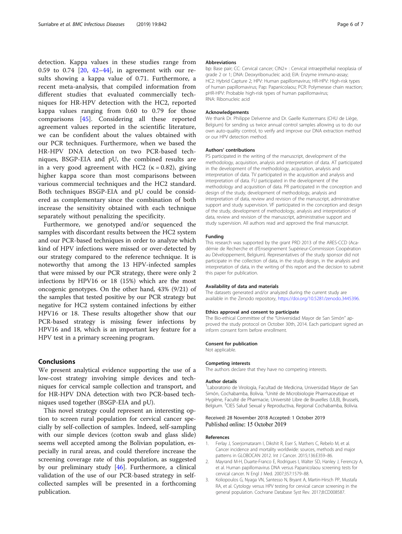<span id="page-5-0"></span>detection. Kappa values in these studies range from 0.59 to 0.74 [[20,](#page-6-0) [42](#page-6-0)–[44](#page-6-0)], in agreement with our results showing a kappa value of 0.71. Furthermore, a recent meta-analysis, that compiled information from different studies that evaluated commercially techniques for HR-HPV detection with the HC2, reported kappa values ranging from 0.60 to 0.79 for those comparisons [[45\]](#page-6-0). Considering all these reported agreement values reported in the scientific literature, we can be confident about the values obtained with our PCR techniques. Furthermore, when we based the HR-HPV DNA detection on two PCR-based techniques, BSGP-EIA and pU, the combined results are in a very good agreement with HC2 ( $\kappa = 0.82$ ), giving higher kappa score than most comparisons between various commercial techniques and the HC2 standard. Both techniques BSGP-EIA and pU could be considered as complementary since the combination of both increase the sensitivity obtained with each technique separately without penalizing the specificity.

Furthermore, we genotyped and/or sequenced the samples with discordant results between the HC2 system and our PCR-based techniques in order to analyze which kind of HPV infections were missed or over-detected by our strategy compared to the reference technique. It is noteworthy that among the 13 HPV-infected samples that were missed by our PCR strategy, there were only 2 infections by HPV16 or 18 (15%) which are the most oncogenic genotypes. On the other hand, 43% (9/21) of the samples that tested positive by our PCR strategy but negative for HC2 system contained infections by either HPV16 or 18. These results altogether show that our PCR-based strategy is missing fewer infections by HPV16 and 18, which is an important key feature for a HPV test in a primary screening program.

## Conclusions

We present analytical evidence supporting the use of a low-cost strategy involving simple devices and techniques for cervical sample collection and transport, and for HR-HPV DNA detection with two PCR-based techniques used together (BSGP-EIA and pU).

This novel strategy could represent an interesting option to screen rural population for cervical cancer specially by self-collection of samples. Indeed, self-sampling with our simple devices (cotton swab and glass slide) seems well accepted among the Bolivian population, especially in rural areas, and could therefore increase the screening coverage rate of this population, as suggested by our preliminary study [[46\]](#page-6-0). Furthermore, a clinical validation of the use of our PCR-based strategy in selfcollected samples will be presented in a forthcoming publication.

#### Abbreviations

bp: Base pair; CC: Cervical cancer; CIN2+ : Cervical intraepithelial neoplasia of grade 2 or 1; DNA: Deoxyribonucleic acid; EIA: Enzyme immuno-assay; HC2: Hybrid Capture 2; HPV: Human papillomavirus; HR-HPV: High-risk types of human papillomavirus; Pap: Papanicolaou; PCR: Polymerase chain reaction; pHR-HPV: Probable high-risk types of human papillomavirus; RNA: Ribonucleic acid

### Acknowledgements

We thank Dr. Philippe Delvenne and Dr. Gaelle Kustermans (CHU de Liège, Belgium) for sending us twice annual control samples allowing us to do our own auto-quality control, to verify and improve our DNA extraction method or our HPV detection method.

#### Authors' contributions

PS participated in the writing of the manuscript, development of the methodology, acquisition, analysis and interpretation of data. AT participated in the development of the methodology, acquisition, analysis and interpretation of data. TV participated in the acquisition and analysis and interpretation of data. FU participated in the development of the methodology and acquisition of data. PR participated in the conception and design of the study, development of methodology, analysis and interpretation of data, review and revision of the manuscript, administrative support and study supervision. VF participated in the conception and design of the study, development of methodology, analysis and interpretation of data, review and revision of the manuscript, administrative support and study supervision. All authors read and approved the final manuscript.

## Funding

This research was supported by the grant PRD 2013 of the ARES-CCD (Académie de Recherche et d'Enseignement Supérieur-Commission Coopération au Développement, Belgium). Representatives of the study sponsor did not participate in the collection of data, in the study design, in the analysis and interpretation of data, in the writing of this report and the decision to submit this paper for publication.

#### Availability of data and materials

The datasets generated and/or analyzed during the current study are available in the Zenodo repository, [https://doi.org/10.5281/zenodo.3445396.](https://doi.org/10.5281/zenodo.3445396)

#### Ethics approval and consent to participate

The Bio-ethical Committee of the "Universidad Mayor de San Simón" approved the study protocol on October 30th, 2014. Each participant signed an inform consent form before enrollment.

#### Consent for publication

Not applicable.

#### Competing interests

The authors declare that they have no competing interests.

#### Author details

<sup>1</sup> Laboratorio de Virología, Facultad de Medicina, Universidad Mayor de San Simón, Cochabamba, Bolivia. <sup>2</sup>Unité de Microbiologie Pharmaceutique et Hygiène, Faculté de Pharmacie, Université Libre de Bruxelles (ULB), Brussels, Belgium. <sup>3</sup>CIES Salud Sexual y Reproductiva, Regional Cochabamba, Bolivia.

## Received: 28 November 2018 Accepted: 1 October 2019 Published online: 15 October 2019

#### References

- 1. Ferlay J, Soerjomataram I, Dikshit R, Eser S, Mathers C, Rebelo M, et al. Cancer incidence and mortality worldwide: sources, methods and major patterns in GLOBOCAN 2012. Int J Cancer. 2015;136:E359–86.
- 2. Mayrand M-H, Duarte-Franco E, Rodrigues I, Walter SD, Hanley J, Ferenczy A, et al. Human papillomavirus DNA versus Papanicolaou screening tests for cervical cancer. N Engl J Med. 2007;357:1579–88.
- 3. Koliopoulos G, Nyaga VN, Santesso N, Bryant A, Martin-Hirsch PP, Mustafa RA, et al. Cytology versus HPV testing for cervical cancer screening in the general population. Cochrane Database Syst Rev. 2017;8:CD008587.